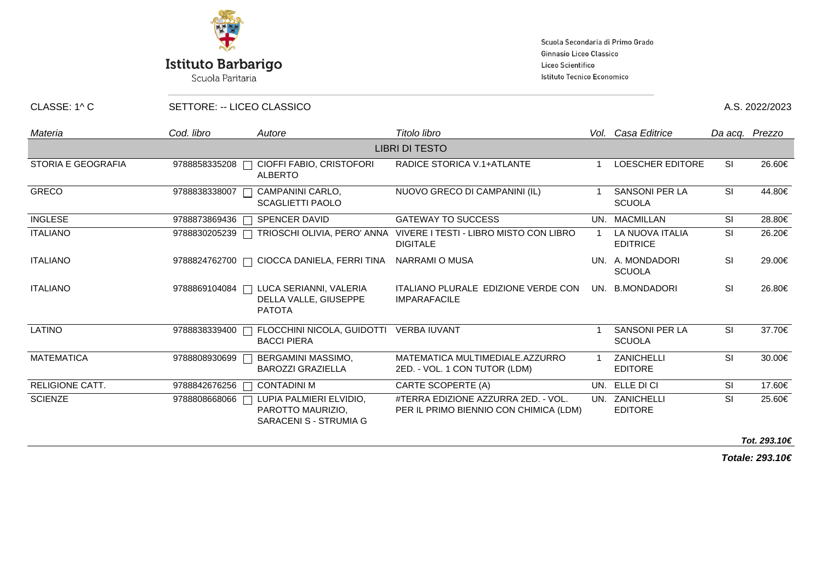

## **Istituto Barbarigo**

Scuola Paritaria

Scuola Secondaria di Primo Grado Ginnasio Liceo Classico Liceo Scientifico Istituto Tecnico Economico

CLASSE: 1^ C SETTORE: -- LICEO CLASSICO A.S. 2022/2023

| Materia                | Cod. libro    | Autore                                                                           | Titolo libro                                                                          |  | Vol. Casa Editrice                        | Da acq. Prezzo |                    |  |  |
|------------------------|---------------|----------------------------------------------------------------------------------|---------------------------------------------------------------------------------------|--|-------------------------------------------|----------------|--------------------|--|--|
| <b>LIBRI DI TESTO</b>  |               |                                                                                  |                                                                                       |  |                                           |                |                    |  |  |
| STORIA E GEOGRAFIA     | 9788858335208 | CIOFFI FABIO, CRISTOFORI<br><b>ALBERTO</b>                                       | <b>RADICE STORICA V.1+ATLANTE</b>                                                     |  | LOESCHER EDITORE                          | <b>SI</b>      | 26.60€             |  |  |
| <b>GRECO</b>           | 9788838338007 | CAMPANINI CARLO,<br><b>SCAGLIETTI PAOLO</b>                                      | NUOVO GRECO DI CAMPANINI (IL)                                                         |  | <b>SANSONI PER LA</b><br><b>SCUOLA</b>    | <b>SI</b>      | 44.80€             |  |  |
| <b>INGLESE</b>         | 9788873869436 | <b>SPENCER DAVID</b><br>$\Box$                                                   | <b>GATEWAY TO SUCCESS</b>                                                             |  | UN. MACMILLAN                             | <b>SI</b>      | 28.80€             |  |  |
| <b>ITALIANO</b>        | 9788830205239 | $\Box$                                                                           | TRIOSCHI OLIVIA, PERO' ANNA VIVERE I TESTI - LIBRO MISTO CON LIBRO<br><b>DIGITALE</b> |  | <b>LA NUOVA ITALIA</b><br><b>EDITRICE</b> | <b>SI</b>      | 26.20€             |  |  |
| <b>ITALIANO</b>        |               | 9788824762700 □ CIOCCA DANIELA, FERRI TINA NARRAMI O MUSA                        |                                                                                       |  | UN. A. MONDADORI<br><b>SCUOLA</b>         | <b>SI</b>      | 29.00€             |  |  |
| <b>ITALIANO</b>        |               | 9788869104084   LUCA SERIANNI, VALERIA<br>DELLA VALLE, GIUSEPPE<br><b>PATOTA</b> | ITALIANO PLURALE EDIZIONE VERDE CON<br><b>IMPARAFACILE</b>                            |  | UN. B.MONDADORI                           | <b>SI</b>      | 26.80€             |  |  |
| <b>LATINO</b>          | 9788838339400 | FLOCCHINI NICOLA, GUIDOTTI VERBA IUVANT<br><b>BACCI PIERA</b>                    |                                                                                       |  | <b>SANSONI PER LA</b><br><b>SCUOLA</b>    | <b>SI</b>      | 37.70€             |  |  |
| <b>MATEMATICA</b>      | 9788808930699 | BERGAMINI MASSIMO,<br><b>BAROZZI GRAZIELLA</b>                                   | MATEMATICA MULTIMEDIALE.AZZURRO<br>2ED. - VOL. 1 CON TUTOR (LDM)                      |  | ZANICHELLI<br><b>EDITORE</b>              | <b>SI</b>      | 30.00€             |  |  |
| <b>RELIGIONE CATT.</b> | 9788842676256 | <b>CONTADINI M</b>                                                               | CARTE SCOPERTE (A)                                                                    |  | UN. ELLE DI CI                            | <b>SI</b>      | 17.60€             |  |  |
| <b>SCIENZE</b>         | 9788808668066 | LUPIA PALMIERI ELVIDIO.<br>PAROTTO MAURIZIO,<br>SARACENI S - STRUMIA G           | #TERRA EDIZIONE AZZURRA 2ED. - VOL.<br>PER IL PRIMO BIENNIO CON CHIMICA (LDM)         |  | UN. ZANICHELLI<br><b>EDITORE</b>          | <b>SI</b>      | 25.60€             |  |  |
|                        |               |                                                                                  |                                                                                       |  |                                           |                | $T - 1$ 000 10 $C$ |  |  |

**Tot. 293.10€**

**Totale: 293.10€**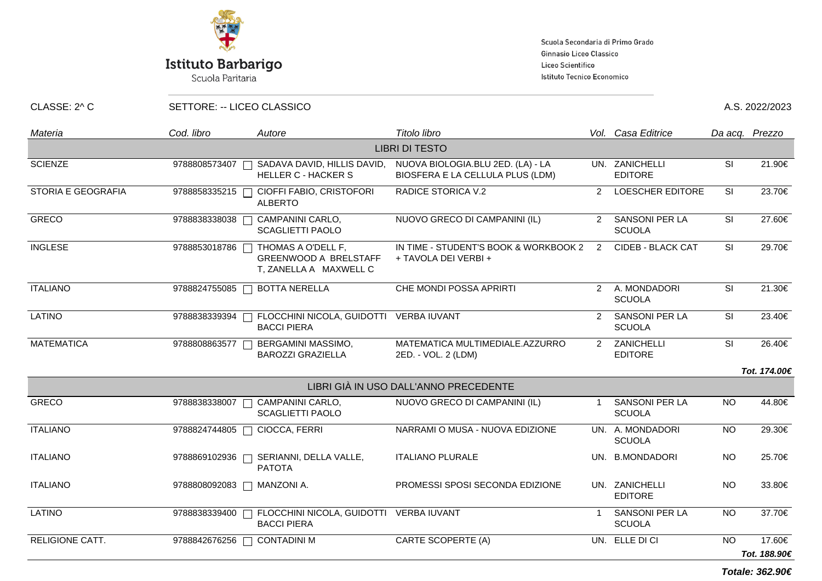

## **Istituto Barbarigo**

Scuola Paritaria

Scuola Secondaria di Primo Grado Ginnasio Liceo Classico Liceo Scientifico Istituto Tecnico Economico

CLASSE: 2^ C SETTORE: -- LICEO CLASSICO A.S. 2022/2023

| Materia                   | Cod. libro    | Autore                                                                       | Titolo libro                                                          |                | Vol. Casa Editrice                     | Da acq. Prezzo           |              |  |
|---------------------------|---------------|------------------------------------------------------------------------------|-----------------------------------------------------------------------|----------------|----------------------------------------|--------------------------|--------------|--|
| <b>LIBRI DI TESTO</b>     |               |                                                                              |                                                                       |                |                                        |                          |              |  |
| <b>SCIENZE</b>            | 9788808573407 | SADAVA DAVID, HILLIS DAVID,<br><b>HELLER C - HACKER S</b>                    | NUOVA BIOLOGIA.BLU 2ED. (LA) - LA<br>BIOSFERA E LA CELLULA PLUS (LDM) |                | UN. ZANICHELLI<br><b>EDITORE</b>       | SI                       | 21.90€       |  |
| <b>STORIA E GEOGRAFIA</b> | 9788858335215 | CIOFFI FABIO, CRISTOFORI<br><b>ALBERTO</b>                                   | <b>RADICE STORICA V.2</b>                                             | $\mathcal{P}$  | <b>LOESCHER EDITORE</b>                | <b>SI</b>                | 23.70€       |  |
| <b>GRECO</b>              | 9788838338038 | CAMPANINI CARLO,<br><b>SCAGLIETTI PAOLO</b>                                  | NUOVO GRECO DI CAMPANINI (IL)                                         |                | 2 SANSONI PER LA<br><b>SCUOLA</b>      | SI                       | 27.60€       |  |
| <b>INGLESE</b>            | 9788853018786 | THOMAS A O'DELL F,<br><b>GREENWOOD A BRELSTAFF</b><br>T, ZANELLA A MAXWELL C | IN TIME - STUDENT'S BOOK & WORKBOOK 2 2<br>+ TAVOLA DEI VERBI +       |                | CIDEB - BLACK CAT                      | <b>SI</b>                | 29.70€       |  |
| <b>ITALIANO</b>           | 9788824755085 | <b>BOTTA NERELLA</b>                                                         | CHE MONDI POSSA APRIRTI                                               |                | 2 A. MONDADORI<br><b>SCUOLA</b>        | SI                       | 21.30€       |  |
| <b>LATINO</b>             | 9788838339394 | FLOCCHINI NICOLA, GUIDOTTI VERBA IUVANT<br><b>BACCI PIERA</b>                |                                                                       |                | 2 SANSONI PER LA<br><b>SCUOLA</b>      | SI                       | 23.40€       |  |
| <b>MATEMATICA</b>         | 9788808863577 | BERGAMINI MASSIMO,<br><b>BAROZZI GRAZIELLA</b>                               | MATEMATICA MULTIMEDIALE.AZZURRO<br>2ED. - VOL. 2 (LDM)                |                | 2 ZANICHELLI<br><b>EDITORE</b>         | $\overline{\mathsf{SI}}$ | 26.40€       |  |
|                           |               |                                                                              |                                                                       |                |                                        |                          | Tot. 174.00€ |  |
|                           |               |                                                                              | LIBRI GIÀ IN USO DALL'ANNO PRECEDENTE                                 |                |                                        |                          |              |  |
| <b>GRECO</b>              | 9788838338007 | CAMPANINI CARLO,<br>┌<br><b>SCAGLIETTI PAOLO</b>                             | NUOVO GRECO DI CAMPANINI (IL)                                         | $\mathbf{1}$   | <b>SANSONI PER LA</b><br><b>SCUOLA</b> | <b>NO</b>                | 44.80€       |  |
| <b>ITALIANO</b>           | 9788824744805 | CIOCCA, FERRI<br>$\Box$                                                      | NARRAMI O MUSA - NUOVA EDIZIONE                                       |                | UN. A. MONDADORI<br><b>SCUOLA</b>      | <b>NO</b>                | 29.30€       |  |
| <b>ITALIANO</b>           | 9788869102936 | SERIANNI, DELLA VALLE,<br><b>PATOTA</b>                                      | <b>ITALIANO PLURALE</b>                                               |                | UN. B.MONDADORI                        | <b>NO</b>                | 25.70€       |  |
| <b>ITALIANO</b>           | 9788808092083 | MANZONI A.                                                                   | PROMESSI SPOSI SECONDA EDIZIONE                                       |                | UN. ZANICHELLI<br><b>EDITORE</b>       | <b>NO</b>                | 33.80€       |  |
| <b>LATINO</b>             | 9788838339400 | FLOCCHINI NICOLA, GUIDOTTI VERBA IUVANT<br><b>BACCI PIERA</b>                |                                                                       | $\overline{1}$ | <b>SANSONI PER LA</b><br><b>SCUOLA</b> | <b>NO</b>                | 37.70€       |  |
| RELIGIONE CATT.           | 9788842676256 | <b>CONTADINI M</b>                                                           | CARTE SCOPERTE (A)                                                    |                | UN. ELLE DI CI                         | <b>NO</b>                | 17.60€       |  |
|                           |               |                                                                              |                                                                       |                |                                        |                          | Tot. 188.90€ |  |

**Totale: 362.90€**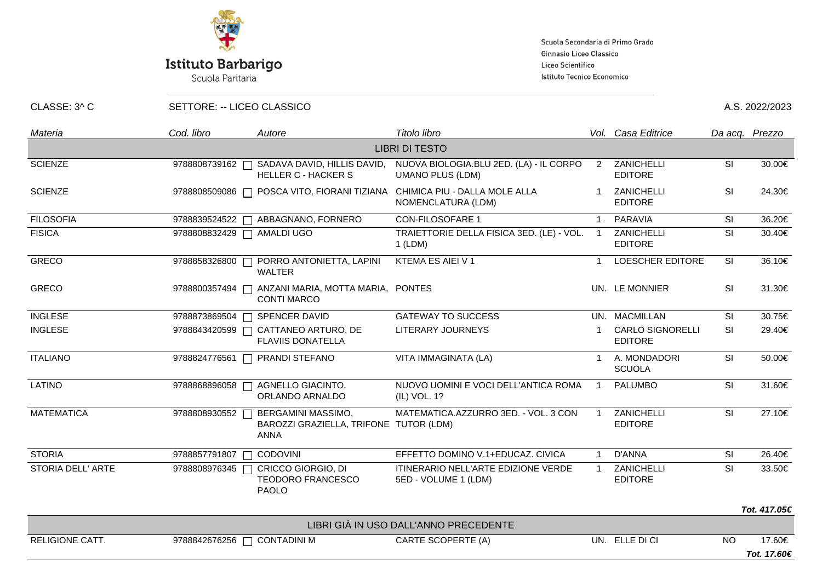

# **Istituto Barbarigo**<br>Scuola Paritaria

Scuola Secondaria di Primo Grado Ginnasio Liceo Classico Liceo Scientifico Istituto Tecnico Economico

CLASSE: 3^ C SETTORE: -- LICEO CLASSICO A.S. 2022/2023

| Materia                  | Cod. libro                  | Autore                                                                      | Titolo libro                                                                    |                | Vol. Casa Editrice                        |                                   | Da acq. Prezzo |  |
|--------------------------|-----------------------------|-----------------------------------------------------------------------------|---------------------------------------------------------------------------------|----------------|-------------------------------------------|-----------------------------------|----------------|--|
| <b>LIBRI DI TESTO</b>    |                             |                                                                             |                                                                                 |                |                                           |                                   |                |  |
| <b>SCIENZE</b>           | 9788808739162               | SADAVA DAVID, HILLIS DAVID,<br><b>HELLER C - HACKER S</b>                   | NUOVA BIOLOGIA.BLU 2ED. (LA) - IL CORPO<br><b>UMANO PLUS (LDM)</b>              |                | 2 ZANICHELLI<br><b>EDITORE</b>            | <b>SI</b>                         | 30.00€         |  |
| <b>SCIENZE</b>           | 9788808509086               |                                                                             | POSCA VITO, FIORANI TIZIANA CHIMICA PIU - DALLA MOLE ALLA<br>NOMENCLATURA (LDM) |                | ZANICHELLI<br><b>EDITORE</b>              | <b>SI</b>                         | 24.30€         |  |
| <b>FILOSOFIA</b>         | 9788839524522               | ABBAGNANO, FORNERO                                                          | <b>CON-FILOSOFARE 1</b>                                                         |                | PARAVIA                                   | SI                                | 36.20€         |  |
| <b>FISICA</b>            | 9788808832429   AMALDI UGO  |                                                                             | TRAIETTORIE DELLA FISICA 3ED. (LE) - VOL.<br>$1$ (LDM)                          | $\overline{1}$ | ZANICHELLI<br><b>EDITORE</b>              | SI                                | 30.40€         |  |
| <b>GRECO</b>             | 9788858326800<br>$\Box$     | PORRO ANTONIETTA, LAPINI<br><b>WALTER</b>                                   | KTEMA ES AIEI V 1                                                               |                | LOESCHER EDITORE                          | <b>SI</b>                         | 36.10€         |  |
| <b>GRECO</b>             | 9788800357494               | ANZANI MARIA, MOTTA MARIA, PONTES<br><b>CONTI MARCO</b>                     |                                                                                 |                | UN. LE MONNIER                            | <b>SI</b>                         | 31.30€         |  |
| <b>INGLESE</b>           | 9788873869504               | SPENCER DAVID                                                               | <b>GATEWAY TO SUCCESS</b>                                                       |                | UN. MACMILLAN                             | <b>SI</b>                         | 30.75€         |  |
| <b>INGLESE</b>           | 9788843420599               | CATTANEO ARTURO, DE<br><b>FLAVIIS DONATELLA</b>                             | LITERARY JOURNEYS                                                               |                | <b>CARLO SIGNORELLI</b><br><b>EDITORE</b> | <b>SI</b>                         | 29.40€         |  |
| <b>ITALIANO</b>          | 9788824776561               | PRANDI STEFANO                                                              | VITA IMMAGINATA (LA)                                                            |                | A. MONDADORI<br><b>SCUOLA</b>             | <b>SI</b>                         | 50.00€         |  |
| <b>LATINO</b>            | 9788868896058               | AGNELLO GIACINTO,<br>ORLANDO ARNALDO                                        | NUOVO UOMINI E VOCI DELL'ANTICA ROMA<br>(IL) VOL. 1?                            |                | <b>PALUMBO</b>                            | SI                                | 31.60€         |  |
| <b>MATEMATICA</b>        | 9788808930552               | BERGAMINI MASSIMO,<br>BAROZZI GRAZIELLA, TRIFONE TUTOR (LDM)<br><b>ANNA</b> | MATEMATICA.AZZURRO 3ED. - VOL. 3 CON                                            |                | ZANICHELLI<br><b>EDITORE</b>              | <b>SI</b>                         | 27.10€         |  |
| <b>STORIA</b>            | 9788857791807               | CODOVINI                                                                    | EFFETTO DOMINO V.1+EDUCAZ. CIVICA                                               |                | D'ANNA                                    | SI                                | 26.40€         |  |
| <b>STORIA DELL' ARTE</b> | 9788808976345               | CRICCO GIORGIO, DI<br><b>TEODORO FRANCESCO</b><br><b>PAOLO</b>              | ITINERARIO NELL'ARTE EDIZIONE VERDE<br>5ED - VOLUME 1 (LDM)                     |                | <b>ZANICHELLI</b><br><b>EDITORE</b>       | $\overline{\overline{\text{SI}}}$ | 33.50€         |  |
|                          |                             |                                                                             |                                                                                 |                |                                           |                                   | Tot. 417.05€   |  |
|                          |                             |                                                                             | LIBRI GIÀ IN USO DALL'ANNO PRECEDENTE                                           |                |                                           |                                   |                |  |
| <b>RELIGIONE CATT.</b>   | 9788842676256 □ CONTADINI M |                                                                             | CARTE SCOPERTE (A)                                                              |                | UN. ELLE DI CI                            | <b>NO</b>                         | 17.60€         |  |
|                          |                             |                                                                             |                                                                                 |                |                                           |                                   | Tot. 17.60€    |  |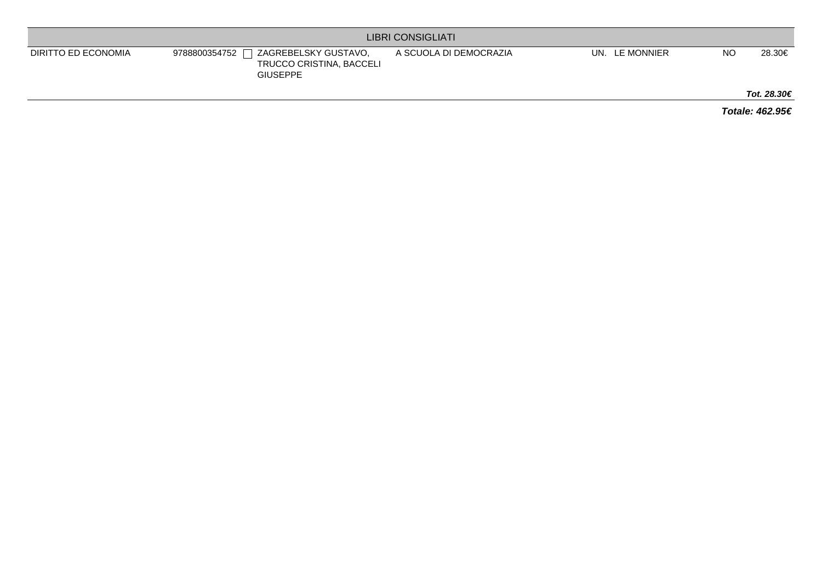| <b>LIBRI CONSIGLIATI</b> |                                                                                      |                        |                   |           |             |  |  |
|--------------------------|--------------------------------------------------------------------------------------|------------------------|-------------------|-----------|-------------|--|--|
| DIRITTO ED ECONOMIA      | ZAGREBELSKY GUSTAVO,<br>9788800354752<br>TRUCCO CRISTINA, BACCELI<br><b>GIUSEPPE</b> | A SCUOLA DI DEMOCRAZIA | LE MONNIER<br>UN. | <b>NO</b> | 28.30€      |  |  |
|                          |                                                                                      |                        |                   |           | Tot. 28.30€ |  |  |

**Totale: 462.95€**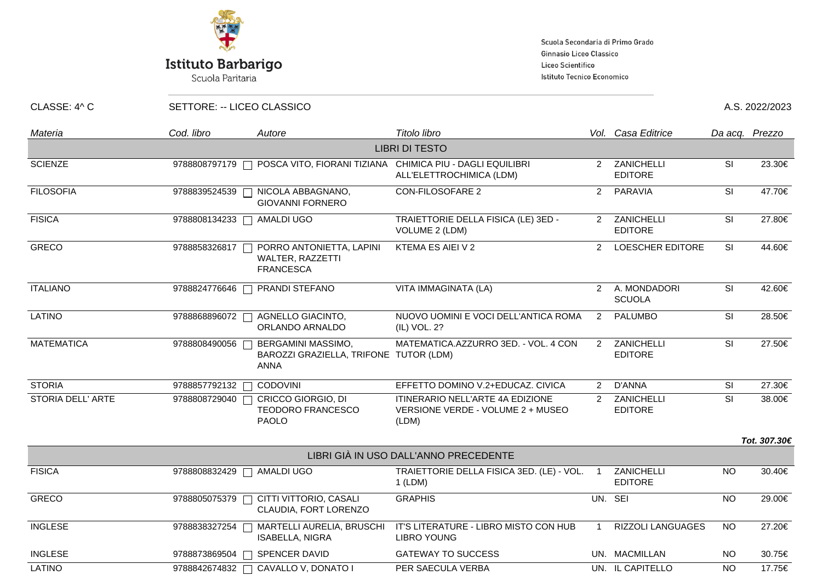

### Istituto Barbarigo

Scuola Paritaria

Scuola Secondaria di Primo Grado Ginnasio Liceo Classico Liceo Scientifico Istituto Tecnico Economico

CLASSE: 4^ C SETTORE: -- LICEO CLASSICO A.S. 2022/2023

| Materia           | Cod. libro    | Autore                                                                                      | Titolo libro                                                                          |                | Vol. Casa Editrice            |           | Da acq. Prezzo |
|-------------------|---------------|---------------------------------------------------------------------------------------------|---------------------------------------------------------------------------------------|----------------|-------------------------------|-----------|----------------|
|                   |               |                                                                                             | <b>LIBRI DI TESTO</b>                                                                 |                |                               |           |                |
| <b>SCIENZE</b>    | 9788808797179 | $\Box$                                                                                      | POSCA VITO, FIORANI TIZIANA CHIMICA PIU - DAGLI EQUILIBRI<br>ALL'ELETTROCHIMICA (LDM) | $\mathcal{P}$  | ZANICHELLI<br><b>EDITORE</b>  | SI        | 23.30€         |
| <b>FILOSOFIA</b>  | 9788839524539 | NICOLA ABBAGNANO,<br><b>GIOVANNI FORNERO</b>                                                | <b>CON-FILOSOFARE 2</b>                                                               | $\overline{2}$ | PARAVIA                       | SI        | 47.70€         |
| <b>FISICA</b>     | 9788808134233 | AMALDI UGO                                                                                  | TRAIETTORIE DELLA FISICA (LE) 3ED -<br>VOLUME 2 (LDM)                                 | $2^{\circ}$    | ZANICHELLI<br><b>EDITORE</b>  | SI        | 27.80€         |
| <b>GRECO</b>      | 9788858326817 | PORRO ANTONIETTA, LAPINI<br>WALTER, RAZZETTI<br><b>FRANCESCA</b>                            | KTEMA ES AIEI V 2                                                                     | $\overline{2}$ | <b>LOESCHER EDITORE</b>       | SI        | 44.60€         |
| <b>ITALIANO</b>   | 9788824776646 | PRANDI STEFANO<br>$\Box$                                                                    | VITA IMMAGINATA (LA)                                                                  | $\overline{2}$ | A. MONDADORI<br><b>SCUOLA</b> | SI        | 42.60€         |
| <b>LATINO</b>     | 9788868896072 | AGNELLO GIACINTO,<br>ORLANDO ARNALDO                                                        | NUOVO UOMINI E VOCI DELL'ANTICA ROMA<br>(IL) VOL. 2?                                  | 2              | PALUMBO                       | SI        | 28.50€         |
| <b>MATEMATICA</b> | 9788808490056 | BERGAMINI MASSIMO,<br>$\mathbf{L}$<br>BAROZZI GRAZIELLA, TRIFONE TUTOR (LDM)<br><b>ANNA</b> | MATEMATICA.AZZURRO 3ED. - VOL. 4 CON                                                  | $\overline{2}$ | ZANICHELLI<br><b>EDITORE</b>  | SI        | 27.50€         |
| <b>STORIA</b>     | 9788857792132 | CODOVINI                                                                                    | EFFETTO DOMINO V.2+EDUCAZ. CIVICA                                                     | $2^{\circ}$    | <b>D'ANNA</b>                 | SI        | 27.30€         |
| STORIA DELL' ARTE | 9788808729040 | CRICCO GIORGIO, DI<br><b>TEODORO FRANCESCO</b><br><b>PAOLO</b>                              | ITINERARIO NELL'ARTE 4A EDIZIONE<br>VERSIONE VERDE - VOLUME 2 + MUSEO<br>(LDM)        | $\mathcal{P}$  | ZANICHELLI<br><b>EDITORE</b>  | SI        | 38.00€         |
|                   |               |                                                                                             |                                                                                       |                |                               |           | Tot. 307.30€   |
|                   |               |                                                                                             | LIBRI GIÀ IN USO DALL'ANNO PRECEDENTE                                                 |                |                               |           |                |
| <b>FISICA</b>     | 9788808832429 | AMALDI UGO                                                                                  | TRAIETTORIE DELLA FISICA 3ED. (LE) - VOL.<br>$1$ (LDM)                                | $\overline{1}$ | ZANICHELLI<br><b>EDITORE</b>  | <b>NO</b> | 30.40€         |
| <b>GRECO</b>      | 9788805075379 | CITTI VITTORIO, CASALI<br>CLAUDIA, FORT LORENZO                                             | <b>GRAPHIS</b>                                                                        |                | UN. SEI                       | <b>NO</b> | 29.00€         |
| <b>INGLESE</b>    | 9788838327254 | MARTELLI AURELIA, BRUSCHI<br><b>ISABELLA, NIGRA</b>                                         | IT'S LITERATURE - LIBRO MISTO CON HUB<br><b>LIBRO YOUNG</b>                           |                | RIZZOLI LANGUAGES             | <b>NO</b> | 27.20€         |
| <b>INGLESE</b>    | 9788873869504 | SPENCER DAVID                                                                               | <b>GATEWAY TO SUCCESS</b>                                                             |                | UN. MACMILLAN                 | <b>NO</b> | 30.75€         |
| LATINO            | 9788842674832 | CAVALLO V, DONATO I<br>$\Box$                                                               | PER SAECULA VERBA                                                                     |                | UN. IL CAPITELLO              | <b>NO</b> | 17.75€         |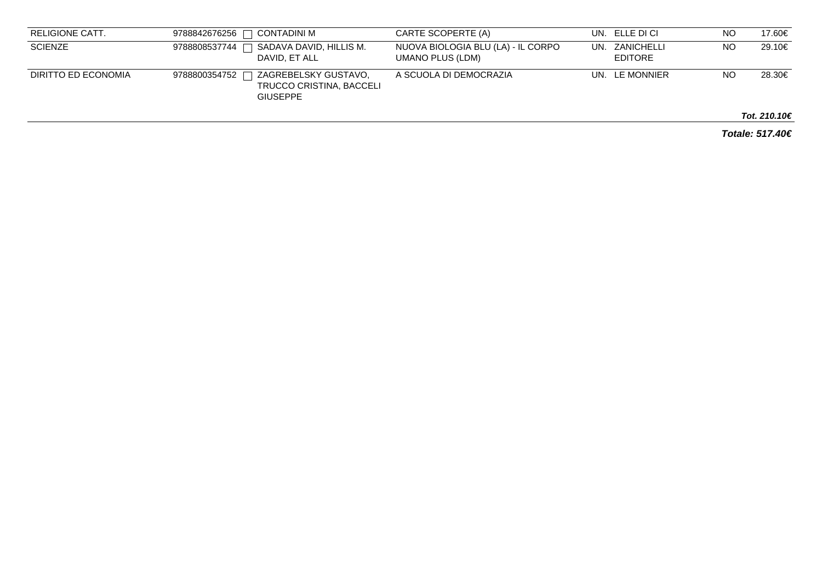| RELIGIONE CATT.     | I CONTADINI M<br>9788842676256                                                       | CARTE SCOPERTE (A)                                     | UN. ELLE DI CI                   | NO | 17.60€                 |
|---------------------|--------------------------------------------------------------------------------------|--------------------------------------------------------|----------------------------------|----|------------------------|
| <b>SCIENZE</b>      | SADAVA DAVID, HILLIS M.<br>9788808537744<br>DAVID, ET ALL                            | NUOVA BIOLOGIA BLU (LA) - IL CORPO<br>UMANO PLUS (LDM) | UN. ZANICHELLI<br><b>EDITORE</b> | NO | 29.10€                 |
| DIRITTO ED ECONOMIA | ZAGREBELSKY GUSTAVO,<br>9788800354752<br>TRUCCO CRISTINA, BACCELI<br><b>GIUSEPPE</b> | A SCUOLA DI DEMOCRAZIA                                 | UN. LE MONNIER                   | NO | 28.30€                 |
|                     |                                                                                      |                                                        |                                  |    | Tot. 210.10 $\epsilon$ |

**Totale: 517.40€**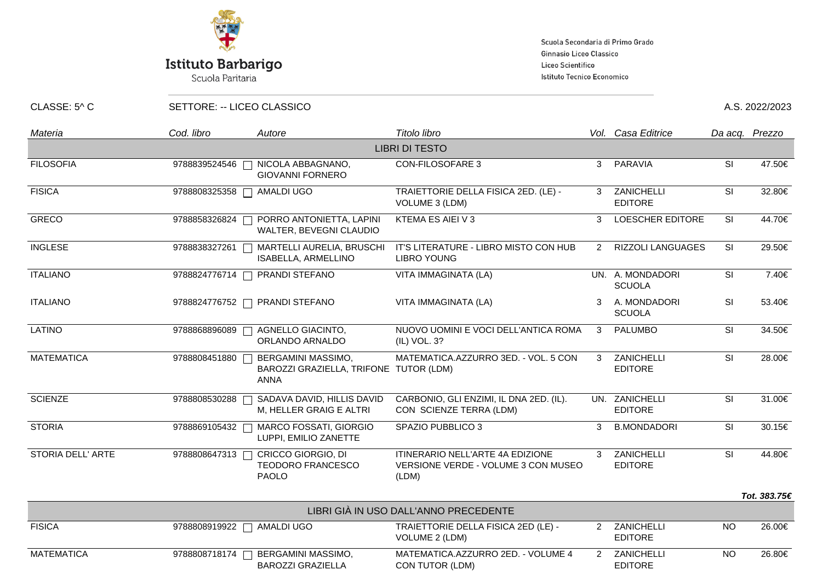

# **Istituto Barbarigo**<br>Scuola Paritaria

Scuola Secondaria di Primo Grado Ginnasio Liceo Classico Liceo Scientifico Istituto Tecnico Economico

CLASSE: 5^ C SETTORE: -- LICEO CLASSICO A.S. 2022/2023

| Materia                  | Cod. libro    | Autore                                                                      | Titolo libro                                                                            |              | Vol. Casa Editrice                  |                          | Da acq. Prezzo |
|--------------------------|---------------|-----------------------------------------------------------------------------|-----------------------------------------------------------------------------------------|--------------|-------------------------------------|--------------------------|----------------|
|                          |               |                                                                             | <b>LIBRI DI TESTO</b>                                                                   |              |                                     |                          |                |
| <b>FILOSOFIA</b>         | 9788839524546 | NICOLA ABBAGNANO,<br>$\Box$<br><b>GIOVANNI FORNERO</b>                      | <b>CON-FILOSOFARE 3</b>                                                                 | $\mathbf{3}$ | PARAVIA                             | <b>SI</b>                | 47.50€         |
| <b>FISICA</b>            | 9788808325358 | AMALDI UGO                                                                  | TRAIETTORIE DELLA FISICA 2ED. (LE) -<br>VOLUME 3 (LDM)                                  | $\mathbf{3}$ | ZANICHELLI<br><b>EDITORE</b>        | $\overline{\mathsf{SI}}$ | 32.80€         |
| <b>GRECO</b>             | 9788858326824 | PORRO ANTONIETTA, LAPINI<br>WALTER, BEVEGNI CLAUDIO                         | KTEMA ES AIEI V 3                                                                       | 3            | <b>LOESCHER EDITORE</b>             | SI                       | 44.70€         |
| <b>INGLESE</b>           | 9788838327261 | MARTELLI AURELIA, BRUSCHI<br>ISABELLA, ARMELLINO                            | IT'S LITERATURE - LIBRO MISTO CON HUB<br><b>LIBRO YOUNG</b>                             | $\mathbf{2}$ | <b>RIZZOLI LANGUAGES</b>            | <b>SI</b>                | 29.50€         |
| <b>ITALIANO</b>          | 9788824776714 | PRANDI STEFANO                                                              | VITA IMMAGINATA (LA)                                                                    |              | UN. A. MONDADORI<br><b>SCUOLA</b>   | SI                       | 7.40€          |
| <b>ITALIANO</b>          | 9788824776752 | PRANDI STEFANO                                                              | VITA IMMAGINATA (LA)                                                                    | 3            | A. MONDADORI<br><b>SCUOLA</b>       | SI                       | 53.40€         |
| LATINO                   | 9788868896089 | AGNELLO GIACINTO,<br>ORLANDO ARNALDO                                        | NUOVO UOMINI E VOCI DELL'ANTICA ROMA<br>(IL) VOL. 3?                                    | 3            | <b>PALUMBO</b>                      | <b>SI</b>                | 34.50€         |
| <b>MATEMATICA</b>        | 9788808451880 | BERGAMINI MASSIMO,<br>BAROZZI GRAZIELLA, TRIFONE TUTOR (LDM)<br><b>ANNA</b> | MATEMATICA.AZZURRO 3ED. - VOL. 5 CON                                                    | 3            | ZANICHELLI<br><b>EDITORE</b>        | SI                       | 28.00€         |
| <b>SCIENZE</b>           | 9788808530288 | SADAVA DAVID, HILLIS DAVID<br>M, HELLER GRAIG E ALTRI                       | CARBONIO, GLI ENZIMI, IL DNA 2ED. (IL).<br>CON SCIENZE TERRA (LDM)                      |              | UN. ZANICHELLI<br><b>EDITORE</b>    | $\overline{\mathsf{SI}}$ | 31.00€         |
| <b>STORIA</b>            | 9788869105432 | MARCO FOSSATI, GIORGIO<br>LUPPI, EMILIO ZANETTE                             | SPAZIO PUBBLICO 3                                                                       | 3            | <b>B.MONDADORI</b>                  | <b>SI</b>                | 30.15€         |
| <b>STORIA DELL' ARTE</b> | 9788808647313 | CRICCO GIORGIO, DI<br><b>TEODORO FRANCESCO</b><br><b>PAOLO</b>              | <b>ITINERARIO NELL'ARTE 4A EDIZIONE</b><br>VERSIONE VERDE - VOLUME 3 CON MUSEO<br>(LDM) | 3            | <b>ZANICHELLI</b><br><b>EDITORE</b> | $\overline{\mathsf{SI}}$ | 44.80€         |
|                          |               |                                                                             |                                                                                         |              |                                     |                          | Tot. 383.75€   |
|                          |               |                                                                             | LIBRI GIÀ IN USO DALL'ANNO PRECEDENTE                                                   |              |                                     |                          |                |
| <b>FISICA</b>            |               | 9788808919922   AMALDI UGO                                                  | TRAIETTORIE DELLA FISICA 2ED (LE) -<br>VOLUME 2 (LDM)                                   | $2^{\circ}$  | ZANICHELLI<br><b>EDITORE</b>        | <b>NO</b>                | 26.00€         |
| <b>MATEMATICA</b>        | 9788808718174 | BERGAMINI MASSIMO,<br><b>BAROZZI GRAZIELLA</b>                              | MATEMATICA.AZZURRO 2ED. - VOLUME 4<br>CON TUTOR (LDM)                                   | $2^{\circ}$  | ZANICHELLI<br><b>EDITORE</b>        | <b>NO</b>                | 26.80€         |